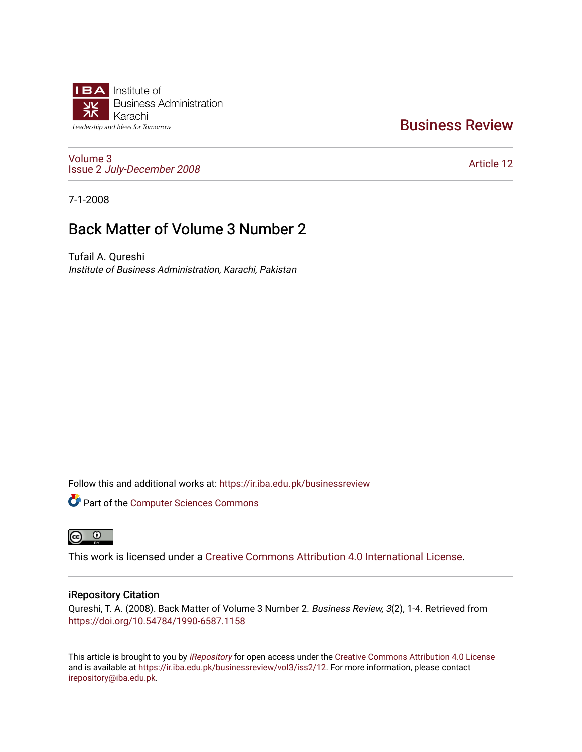

### [Business Review](https://ir.iba.edu.pk/businessreview)

[Volume 3](https://ir.iba.edu.pk/businessreview/vol3) Issue 2 [July-December 2008](https://ir.iba.edu.pk/businessreview/vol3/iss2)

[Article 12](https://ir.iba.edu.pk/businessreview/vol3/iss2/12) 

7-1-2008

## Back Matter of Volume 3 Number 2

Tufail A. Qureshi Institute of Business Administration, Karachi, Pakistan

Follow this and additional works at: [https://ir.iba.edu.pk/businessreview](https://ir.iba.edu.pk/businessreview?utm_source=ir.iba.edu.pk%2Fbusinessreview%2Fvol3%2Fiss2%2F12&utm_medium=PDF&utm_campaign=PDFCoverPages) 

Part of the [Computer Sciences Commons](http://network.bepress.com/hgg/discipline/142?utm_source=ir.iba.edu.pk%2Fbusinessreview%2Fvol3%2Fiss2%2F12&utm_medium=PDF&utm_campaign=PDFCoverPages)



This work is licensed under a [Creative Commons Attribution 4.0 International License](https://creativecommons.org/licenses/by/4.0/).

#### iRepository Citation

Qureshi, T. A. (2008). Back Matter of Volume 3 Number 2. Business Review, 3(2), 1-4. Retrieved from <https://doi.org/10.54784/1990-6587.1158>

This article is brought to you by [iRepository](https://ir.iba.edu.pk/) for open access under the Creative Commons Attribution 4.0 License and is available at [https://ir.iba.edu.pk/businessreview/vol3/iss2/12.](https://ir.iba.edu.pk/businessreview/vol3/iss2/12) For more information, please contact [irepository@iba.edu.pk.](mailto:irepository@iba.edu.pk)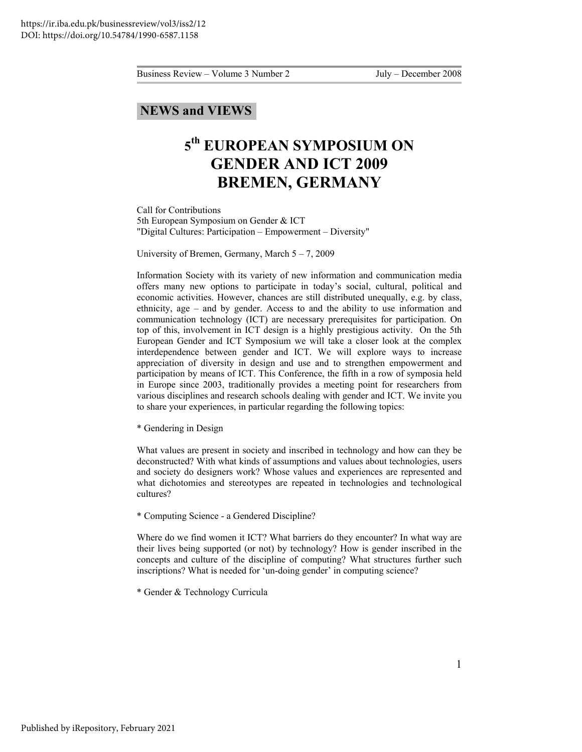#### **NEWS and VIEWS**

# **5 th EUROPEAN SYMPOSIUM ON GENDER AND ICT 2009 BREMEN, GERMANY**

Call for Contributions 5th European Symposium on Gender & ICT "Digital Cultures: Participation – Empowerment – Diversity"

University of Bremen, Germany, March 5 – 7, 2009

Information Society with its variety of new information and communication media offers many new options to participate in today's social, cultural, political and economic activities. However, chances are still distributed unequally, e.g. by class, ethnicity, age – and by gender. Access to and the ability to use information and communication technology (ICT) are necessary prerequisites for participation. On top of this, involvement in ICT design is a highly prestigious activity. On the 5th European Gender and ICT Symposium we will take a closer look at the complex interdependence between gender and ICT. We will explore ways to increase appreciation of diversity in design and use and to strengthen empowerment and participation by means of ICT. This Conference, the fifth in a row of symposia held in Europe since 2003, traditionally provides a meeting point for researchers from various disciplines and research schools dealing with gender and ICT. We invite you to share your experiences, in particular regarding the following topics:

\* Gendering in Design

What values are present in society and inscribed in technology and how can they be deconstructed? With what kinds of assumptions and values about technologies, users and society do designers work? Whose values and experiences are represented and what dichotomies and stereotypes are repeated in technologies and technological cultures?

\* Computing Science - a Gendered Discipline?

Where do we find women it ICT? What barriers do they encounter? In what way are their lives being supported (or not) by technology? How is gender inscribed in the concepts and culture of the discipline of computing? What structures further such inscriptions? What is needed for 'un-doing gender' in computing science?

\* Gender & Technology Curricula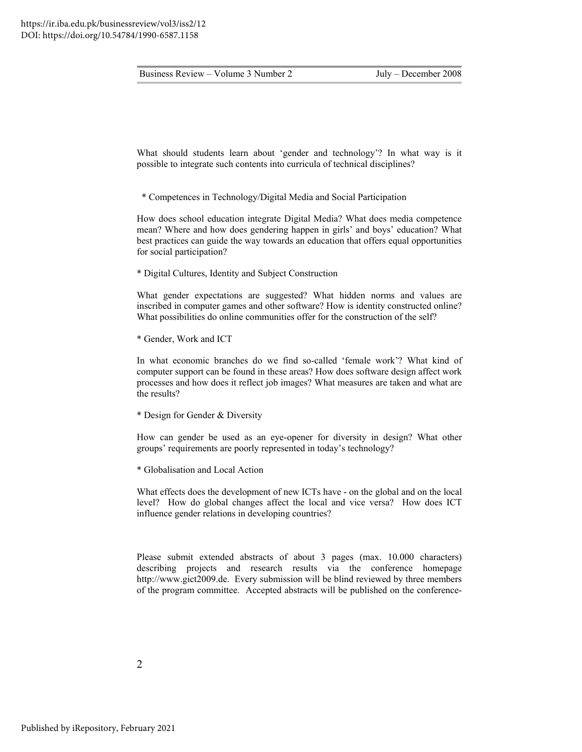What should students learn about 'gender and technology'? In what way is it possible to integrate such contents into curricula of technical disciplines?

\* Competences in Technology/Digital Media and Social Participation

How does school education integrate Digital Media? What does media competence mean? Where and how does gendering happen in girls' and boys' education? What best practices can guide the way towards an education that offers equal opportunities for social participation?

\* Digital Cultures, Identity and Subject Construction

What gender expectations are suggested? What hidden norms and values are inscribed in computer games and other software? How is identity constructed online? What possibilities do online communities offer for the construction of the self?

\* Gender, Work and ICT

In what economic branches do we find so-called 'female work'? What kind of computer support can be found in these areas? How does software design affect work processes and how does it reflect job images? What measures are taken and what are the results?

\* Design for Gender & Diversity

How can gender be used as an eye-opener for diversity in design? What other groups' requirements are poorly represented in today's technology?

\* Globalisation and Local Action

What effects does the development of new ICTs have - on the global and on the local level? How do global changes affect the local and vice versa? How does ICT influence gender relations in developing countries?

Please submit extended abstracts of about 3 pages (max. 10.000 characters) describing projects and research results via the conference homepage http://www.gict2009.de. Every submission will be blind reviewed by three members of the program committee. Accepted abstracts will be published on the conference-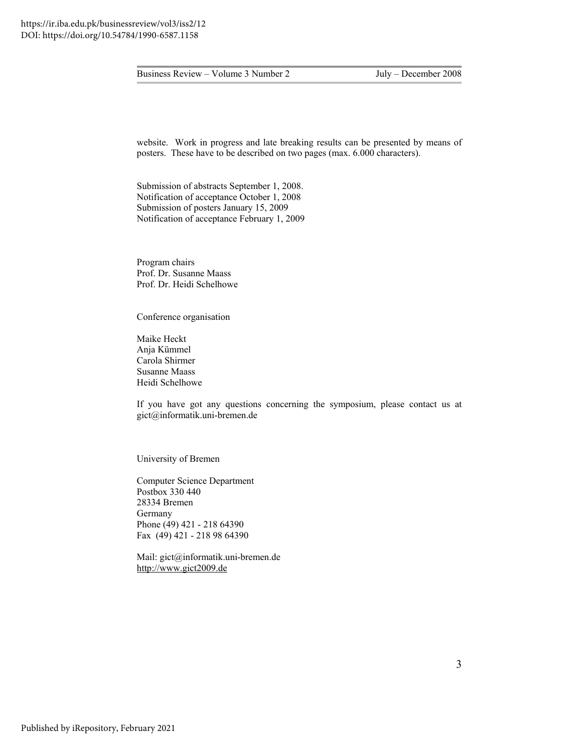website. Work in progress and late breaking results can be presented by means of posters. These have to be described on two pages (max. 6.000 characters).

Submission of abstracts September 1, 2008. Notification of acceptance October 1, 2008 Submission of posters January 15, 2009 Notification of acceptance February 1, 2009

Program chairs Prof. Dr. Susanne Maass Prof. Dr. Heidi Schelhowe

Conference organisation

Maike Heckt Anja Kümmel Carola Shirmer Susanne Maass Heidi Schelhowe

If you have got any questions concerning the symposium, please contact us at gict@informatik.uni-bremen.de

University of Bremen

Computer Science Department Postbox 330 440 28334 Bremen Germany Phone (49) 421 - 218 64390 Fax (49) 421 - 218 98 64390

Mail: gict@informatik.uni-bremen.de [http://www.gict2009.de](http://www.gict2009.de/)